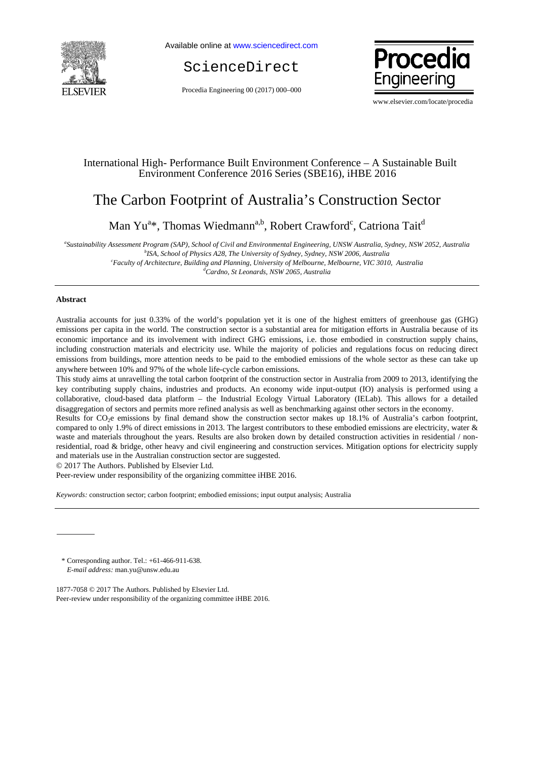

Available online at www.sciencedirect.com

ScienceDirect

Procedia Engineering 00 (2017) 000–000



www.elsevier.com/locate/procedia

# International High- Performance Built Environment Conference – A Sustainable Built Environment Conference 2016 Series (SBE16), iHBE 2016

# The Carbon Footprint of Australia's Construction Sector

Man Yu<sup>a\*</sup>, Thomas Wiedmann<sup>a,b</sup>, Robert Crawford<sup>c</sup>, Catriona Tait<sup>d</sup>

<sup>a</sup> Sustainability Assessment Program (SAP), School of Civil and Environmental Engineering, UNSW Australia, Sydney, NSW 2052, Australia by a by SA School of Physics 428. The University of Sydney, NSW 2006, Australia by a b *ISA, School of Physics A28, The University of Sydney, Sydney, NSW 2006, Australia c Faculty of Architecture, Building and Planning, University of Melbourne, Melbourne, VIC 3010, Australia d*

*Cardno, St Leonards, NSW 2065, Australia* 

# **Abstract**

Australia accounts for just 0.33% of the world's population yet it is one of the highest emitters of greenhouse gas (GHG) emissions per capita in the world. The construction sector is a substantial area for mitigation efforts in Australia because of its economic importance and its involvement with indirect GHG emissions, i.e. those embodied in construction supply chains, including construction materials and electricity use. While the majority of policies and regulations focus on reducing direct emissions from buildings, more attention needs to be paid to the embodied emissions of the whole sector as these can take up anywhere between 10% and 97% of the whole life-cycle carbon emissions.

This study aims at unravelling the total carbon footprint of the construction sector in Australia from 2009 to 2013, identifying the key contributing supply chains, industries and products. An economy wide input-output (IO) analysis is performed using a collaborative, cloud-based data platform – the Industrial Ecology Virtual Laboratory (IELab). This allows for a detailed disaggregation of sectors and permits more refined analysis as well as benchmarking against other sectors in the economy.

Results for  $CO_2e$  emissions by final demand show the construction sector makes up 18.1% of Australia's carbon footprint, compared to only 1.9% of direct emissions in 2013. The largest contributors to these embodied emissions are electricity, water & waste and materials throughout the years. Results are also broken down by detailed construction activities in residential / nonresidential, road & bridge, other heavy and civil engineering and construction services. Mitigation options for electricity supply and materials use in the Australian construction sector are suggested.

© 2017 The Authors. Published by Elsevier Ltd.

Peer-review under responsibility of the organizing committee iHBE 2016.

*Keywords:* construction sector; carbon footprint; embodied emissions; input output analysis; Australia

\* Corresponding author. Tel.: +61-466-911-638. *E-mail address:* man.yu@unsw.edu.au

1877-7058 © 2017 The Authors. Published by Elsevier Ltd. Peer-review under responsibility of the organizing committee iHBE 2016.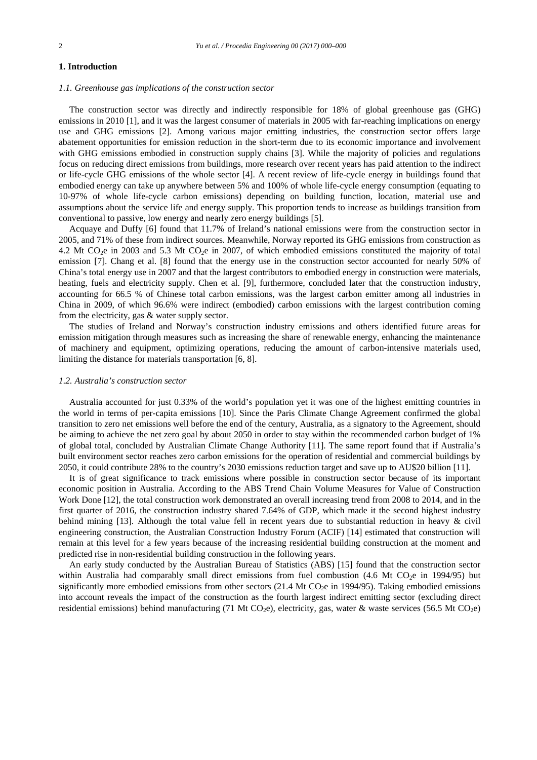# **1. Introduction**

# *1.1. Greenhouse gas implications of the construction sector*

The construction sector was directly and indirectly responsible for 18% of global greenhouse gas (GHG) emissions in 2010 [1], and it was the largest consumer of materials in 2005 with far-reaching implications on energy use and GHG emissions [2]. Among various major emitting industries, the construction sector offers large abatement opportunities for emission reduction in the short-term due to its economic importance and involvement with GHG emissions embodied in construction supply chains [3]. While the majority of policies and regulations focus on reducing direct emissions from buildings, more research over recent years has paid attention to the indirect or life-cycle GHG emissions of the whole sector [4]. A recent review of life-cycle energy in buildings found that embodied energy can take up anywhere between 5% and 100% of whole life-cycle energy consumption (equating to 10-97% of whole life-cycle carbon emissions) depending on building function, location, material use and assumptions about the service life and energy supply. This proportion tends to increase as buildings transition from conventional to passive, low energy and nearly zero energy buildings [5].

Acquaye and Duffy [6] found that 11.7% of Ireland's national emissions were from the construction sector in 2005, and 71% of these from indirect sources. Meanwhile, Norway reported its GHG emissions from construction as 4.2 Mt CO<sub>2</sub>e in 2003 and 5.3 Mt CO<sub>2</sub>e in 2007, of which embodied emissions constituted the majority of total emission [7]. Chang et al. [8] found that the energy use in the construction sector accounted for nearly 50% of China's total energy use in 2007 and that the largest contributors to embodied energy in construction were materials, heating, fuels and electricity supply. Chen et al. [9], furthermore, concluded later that the construction industry, accounting for 66.5 % of Chinese total carbon emissions, was the largest carbon emitter among all industries in China in 2009, of which 96.6% were indirect (embodied) carbon emissions with the largest contribution coming from the electricity, gas & water supply sector.

The studies of Ireland and Norway's construction industry emissions and others identified future areas for emission mitigation through measures such as increasing the share of renewable energy, enhancing the maintenance of machinery and equipment, optimizing operations, reducing the amount of carbon-intensive materials used, limiting the distance for materials transportation [6, 8].

# *1.2. Australia's construction sector*

Australia accounted for just 0.33% of the world's population yet it was one of the highest emitting countries in the world in terms of per-capita emissions [10]. Since the Paris Climate Change Agreement confirmed the global transition to zero net emissions well before the end of the century, Australia, as a signatory to the Agreement, should be aiming to achieve the net zero goal by about 2050 in order to stay within the recommended carbon budget of 1% of global total, concluded by Australian Climate Change Authority [11]. The same report found that if Australia's built environment sector reaches zero carbon emissions for the operation of residential and commercial buildings by 2050, it could contribute 28% to the country's 2030 emissions reduction target and save up to AU\$20 billion [11].

It is of great significance to track emissions where possible in construction sector because of its important economic position in Australia. According to the ABS Trend Chain Volume Measures for Value of Construction Work Done [12], the total construction work demonstrated an overall increasing trend from 2008 to 2014, and in the first quarter of 2016, the construction industry shared 7.64% of GDP, which made it the second highest industry behind mining [13]. Although the total value fell in recent years due to substantial reduction in heavy & civil engineering construction, the Australian Construction Industry Forum (ACIF) [14] estimated that construction will remain at this level for a few years because of the increasing residential building construction at the moment and predicted rise in non-residential building construction in the following years.

An early study conducted by the Australian Bureau of Statistics (ABS) [15] found that the construction sector within Australia had comparably small direct emissions from fuel combustion (4.6 Mt  $CO<sub>2</sub>e$  in 1994/95) but significantly more embodied emissions from other sectors (21.4 Mt  $CO<sub>2</sub>e$  in 1994/95). Taking embodied emissions into account reveals the impact of the construction as the fourth largest indirect emitting sector (excluding direct residential emissions) behind manufacturing (71 Mt CO<sub>2</sub>e), electricity, gas, water & waste services (56.5 Mt CO<sub>2</sub>e)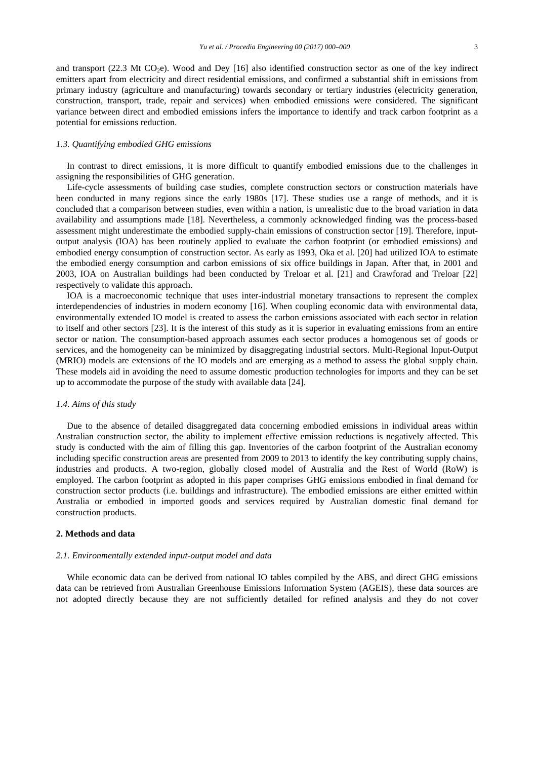and transport (22.3 Mt CO<sub>2</sub>e). Wood and Dev [16] also identified construction sector as one of the key indirect emitters apart from electricity and direct residential emissions, and confirmed a substantial shift in emissions from primary industry (agriculture and manufacturing) towards secondary or tertiary industries (electricity generation, construction, transport, trade, repair and services) when embodied emissions were considered. The significant variance between direct and embodied emissions infers the importance to identify and track carbon footprint as a potential for emissions reduction.

# *1.3. Quantifying embodied GHG emissions*

In contrast to direct emissions, it is more difficult to quantify embodied emissions due to the challenges in assigning the responsibilities of GHG generation.

Life-cycle assessments of building case studies, complete construction sectors or construction materials have been conducted in many regions since the early 1980s [17]. These studies use a range of methods, and it is concluded that a comparison between studies, even within a nation, is unrealistic due to the broad variation in data availability and assumptions made [18]. Nevertheless, a commonly acknowledged finding was the process-based assessment might underestimate the embodied supply-chain emissions of construction sector [19]. Therefore, inputoutput analysis (IOA) has been routinely applied to evaluate the carbon footprint (or embodied emissions) and embodied energy consumption of construction sector. As early as 1993, Oka et al. [20] had utilized IOA to estimate the embodied energy consumption and carbon emissions of six office buildings in Japan. After that, in 2001 and 2003, IOA on Australian buildings had been conducted by Treloar et al. [21] and Crawforad and Treloar [22] respectively to validate this approach.

IOA is a macroeconomic technique that uses inter-industrial monetary transactions to represent the complex interdependencies of industries in modern economy [16]. When coupling economic data with environmental data, environmentally extended IO model is created to assess the carbon emissions associated with each sector in relation to itself and other sectors [23]. It is the interest of this study as it is superior in evaluating emissions from an entire sector or nation. The consumption-based approach assumes each sector produces a homogenous set of goods or services, and the homogeneity can be minimized by disaggregating industrial sectors. Multi-Regional Input-Output (MRIO) models are extensions of the IO models and are emerging as a method to assess the global supply chain. These models aid in avoiding the need to assume domestic production technologies for imports and they can be set up to accommodate the purpose of the study with available data [24].

#### *1.4. Aims of this study*

Due to the absence of detailed disaggregated data concerning embodied emissions in individual areas within Australian construction sector, the ability to implement effective emission reductions is negatively affected. This study is conducted with the aim of filling this gap. Inventories of the carbon footprint of the Australian economy including specific construction areas are presented from 2009 to 2013 to identify the key contributing supply chains, industries and products. A two-region, globally closed model of Australia and the Rest of World (RoW) is employed. The carbon footprint as adopted in this paper comprises GHG emissions embodied in final demand for construction sector products (i.e. buildings and infrastructure). The embodied emissions are either emitted within Australia or embodied in imported goods and services required by Australian domestic final demand for construction products.

#### **2. Methods and data**

# *2.1. Environmentally extended input-output model and data*

While economic data can be derived from national IO tables compiled by the ABS, and direct GHG emissions data can be retrieved from Australian Greenhouse Emissions Information System (AGEIS), these data sources are not adopted directly because they are not sufficiently detailed for refined analysis and they do not cover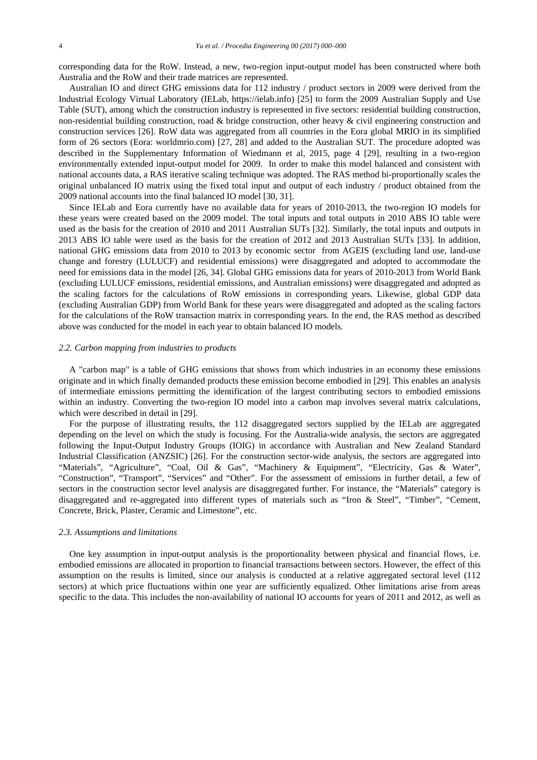corresponding data for the RoW. Instead, a new, two-region input-output model has been constructed where both Australia and the RoW and their trade matrices are represented.

Australian IO and direct GHG emissions data for 112 industry / product sectors in 2009 were derived from the Industrial Ecology Virtual Laboratory (IELab, https://ielab.info) [25] to form the 2009 Australian Supply and Use Table (SUT), among which the construction industry is represented in five sectors: residential building construction, non-residential building construction, road & bridge construction, other heavy & civil engineering construction and construction services [26]. RoW data was aggregated from all countries in the Eora global MRIO in its simplified form of 26 sectors (Eora: worldmrio.com) [27, 28] and added to the Australian SUT. The procedure adopted was described in the Supplementary Information of Wiedmann et al, 2015, page 4 [29], resulting in a two-region environmentally extended input-output model for 2009. In order to make this model balanced and consistent with national accounts data, a RAS iterative scaling technique was adopted. The RAS method bi-proportionally scales the original unbalanced IO matrix using the fixed total input and output of each industry / product obtained from the 2009 national accounts into the final balanced IO model [30, 31].

Since IELab and Eora currently have no available data for years of 2010-2013, the two-region IO models for these years were created based on the 2009 model. The total inputs and total outputs in 2010 ABS IO table were used as the basis for the creation of 2010 and 2011 Australian SUTs [32]. Similarly, the total inputs and outputs in 2013 ABS IO table were used as the basis for the creation of 2012 and 2013 Australian SUTs [33]. In addition, national GHG emissions data from 2010 to 2013 by economic sector from AGEIS (excluding land use, land-use change and forestry (LULUCF) and residential emissions) were disaggregated and adopted to accommodate the need for emissions data in the model [26, 34]. Global GHG emissions data for years of 2010-2013 from World Bank (excluding LULUCF emissions, residential emissions, and Australian emissions) were disaggregated and adopted as the scaling factors for the calculations of RoW emissions in corresponding years. Likewise, global GDP data (excluding Australian GDP) from World Bank for these years were disaggregated and adopted as the scaling factors for the calculations of the RoW transaction matrix in corresponding years. In the end, the RAS method as described above was conducted for the model in each year to obtain balanced IO models.

# *2.2. Carbon mapping from industries to products*

A "carbon map" is a table of GHG emissions that shows from which industries in an economy these emissions originate and in which finally demanded products these emission become embodied in [29]. This enables an analysis of intermediate emissions permitting the identification of the largest contributing sectors to embodied emissions within an industry. Converting the two-region IO model into a carbon map involves several matrix calculations, which were described in detail in [29].

For the purpose of illustrating results, the 112 disaggregated sectors supplied by the IELab are aggregated depending on the level on which the study is focusing. For the Australia-wide analysis, the sectors are aggregated following the Input-Output Industry Groups (IOIG) in accordance with Australian and New Zealand Standard Industrial Classification (ANZSIC) [26]. For the construction sector-wide analysis, the sectors are aggregated into "Materials", "Agriculture", "Coal, Oil & Gas", "Machinery & Equipment", "Electricity, Gas & Water", "Construction", "Transport", "Services" and "Other". For the assessment of emissions in further detail, a few of sectors in the construction sector level analysis are disaggregated further. For instance, the "Materials" category is disaggregated and re-aggregated into different types of materials such as "Iron & Steel", "Timber", "Cement, Concrete, Brick, Plaster, Ceramic and Limestone", etc.

# *2.3. Assumptions and limitations*

One key assumption in input-output analysis is the proportionality between physical and financial flows, i.e. embodied emissions are allocated in proportion to financial transactions between sectors. However, the effect of this assumption on the results is limited, since our analysis is conducted at a relative aggregated sectoral level (112 sectors) at which price fluctuations within one year are sufficiently equalized. Other limitations arise from areas specific to the data. This includes the non-availability of national IO accounts for years of 2011 and 2012, as well as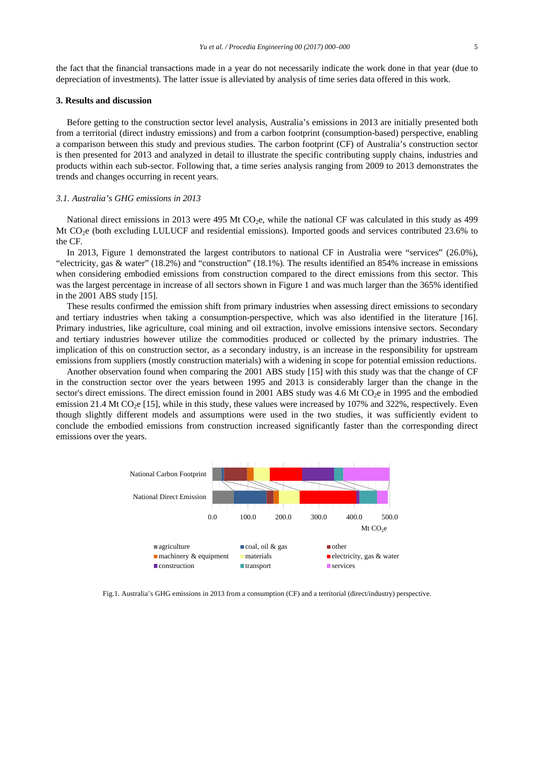the fact that the financial transactions made in a year do not necessarily indicate the work done in that year (due to depreciation of investments). The latter issue is alleviated by analysis of time series data offered in this work.

#### **3. Results and discussion**

Before getting to the construction sector level analysis, Australia's emissions in 2013 are initially presented both from a territorial (direct industry emissions) and from a carbon footprint (consumption-based) perspective, enabling a comparison between this study and previous studies. The carbon footprint (CF) of Australia's construction sector is then presented for 2013 and analyzed in detail to illustrate the specific contributing supply chains, industries and products within each sub-sector. Following that, a time series analysis ranging from 2009 to 2013 demonstrates the trends and changes occurring in recent years.

# *3.1. Australia's GHG emissions in 2013*

National direct emissions in 2013 were 495 Mt CO<sub>2</sub>e, while the national CF was calculated in this study as 499 Mt CO2e (both excluding LULUCF and residential emissions). Imported goods and services contributed 23.6% to the CF.

In 2013, Figure 1 demonstrated the largest contributors to national CF in Australia were "services" (26.0%), "electricity, gas & water" (18.2%) and "construction" (18.1%). The results identified an 854% increase in emissions when considering embodied emissions from construction compared to the direct emissions from this sector. This was the largest percentage in increase of all sectors shown in Figure 1 and was much larger than the 365% identified in the 2001 ABS study [15].

These results confirmed the emission shift from primary industries when assessing direct emissions to secondary and tertiary industries when taking a consumption-perspective, which was also identified in the literature [16]. Primary industries, like agriculture, coal mining and oil extraction, involve emissions intensive sectors. Secondary and tertiary industries however utilize the commodities produced or collected by the primary industries. The implication of this on construction sector, as a secondary industry, is an increase in the responsibility for upstream emissions from suppliers (mostly construction materials) with a widening in scope for potential emission reductions.

Another observation found when comparing the 2001 ABS study [15] with this study was that the change of CF in the construction sector over the years between 1995 and 2013 is considerably larger than the change in the sector's direct emissions. The direct emission found in 2001 ABS study was 4.6 Mt CO<sub>2</sub>e in 1995 and the embodied emission 21.4 Mt  $CO<sub>2</sub>e$  [15], while in this study, these values were increased by 107% and 322%, respectively. Even though slightly different models and assumptions were used in the two studies, it was sufficiently evident to conclude the embodied emissions from construction increased significantly faster than the corresponding direct emissions over the years.



Fig.1. Australia's GHG emissions in 2013 from a consumption (CF) and a territorial (direct/industry) perspective.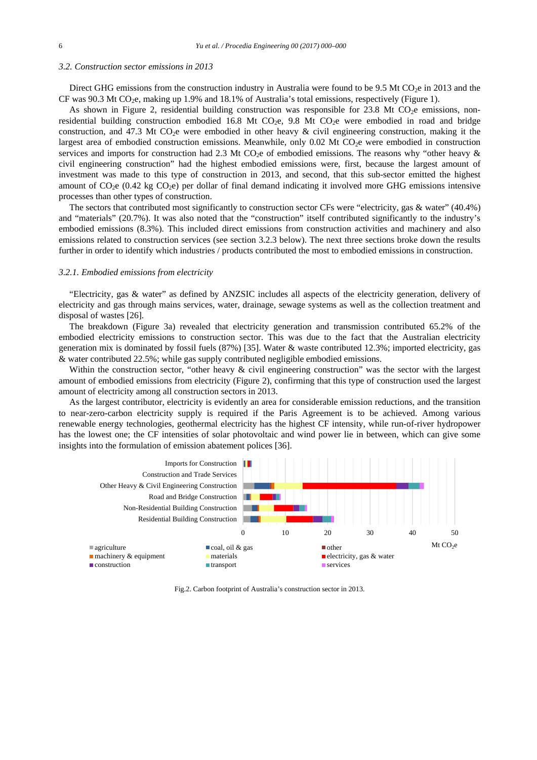# *3.2. Construction sector emissions in 2013*

Direct GHG emissions from the construction industry in Australia were found to be 9.5 Mt  $CO<sub>2</sub>e$  in 2013 and the CF was 90.3 Mt CO<sub>2</sub>e, making up 1.9% and 18.1% of Australia's total emissions, respectively (Figure 1).

As shown in Figure 2, residential building construction was responsible for 23.8 Mt  $CO<sub>2</sub>e$  emissions, nonresidential building construction embodied 16.8 Mt  $CO<sub>2</sub>e$ , 9.8 Mt  $CO<sub>2</sub>e$  were embodied in road and bridge construction, and 47.3 Mt  $CO<sub>2</sub>e$  were embodied in other heavy & civil engineering construction, making it the largest area of embodied construction emissions. Meanwhile, only 0.02 Mt CO<sub>2</sub>e were embodied in construction services and imports for construction had 2.3 Mt  $CO<sub>2</sub>e$  of embodied emissions. The reasons why "other heavy  $\&$ civil engineering construction" had the highest embodied emissions were, first, because the largest amount of investment was made to this type of construction in 2013, and second, that this sub-sector emitted the highest amount of  $CO<sub>2</sub>e (0.42 \text{ kg }CO<sub>2</sub>e)$  per dollar of final demand indicating it involved more GHG emissions intensive processes than other types of construction.

The sectors that contributed most significantly to construction sector CFs were "electricity, gas & water" (40.4%) and "materials" (20.7%). It was also noted that the "construction" itself contributed significantly to the industry's embodied emissions (8.3%). This included direct emissions from construction activities and machinery and also emissions related to construction services (see section 3.2.3 below). The next three sections broke down the results further in order to identify which industries / products contributed the most to embodied emissions in construction.

#### *3.2.1. Embodied emissions from electricity*

"Electricity, gas & water" as defined by ANZSIC includes all aspects of the electricity generation, delivery of electricity and gas through mains services, water, drainage, sewage systems as well as the collection treatment and disposal of wastes [26].

The breakdown (Figure 3a) revealed that electricity generation and transmission contributed 65.2% of the embodied electricity emissions to construction sector. This was due to the fact that the Australian electricity generation mix is dominated by fossil fuels (87%) [35]. Water & waste contributed 12.3%; imported electricity, gas & water contributed 22.5%; while gas supply contributed negligible embodied emissions.

Within the construction sector, "other heavy & civil engineering construction" was the sector with the largest amount of embodied emissions from electricity (Figure 2), confirming that this type of construction used the largest amount of electricity among all construction sectors in 2013.

As the largest contributor, electricity is evidently an area for considerable emission reductions, and the transition to near-zero-carbon electricity supply is required if the Paris Agreement is to be achieved. Among various renewable energy technologies, geothermal electricity has the highest CF intensity, while run-of-river hydropower has the lowest one; the CF intensities of solar photovoltaic and wind power lie in between, which can give some insights into the formulation of emission abatement polices [36].



Fig.2. Carbon footprint of Australia's construction sector in 2013.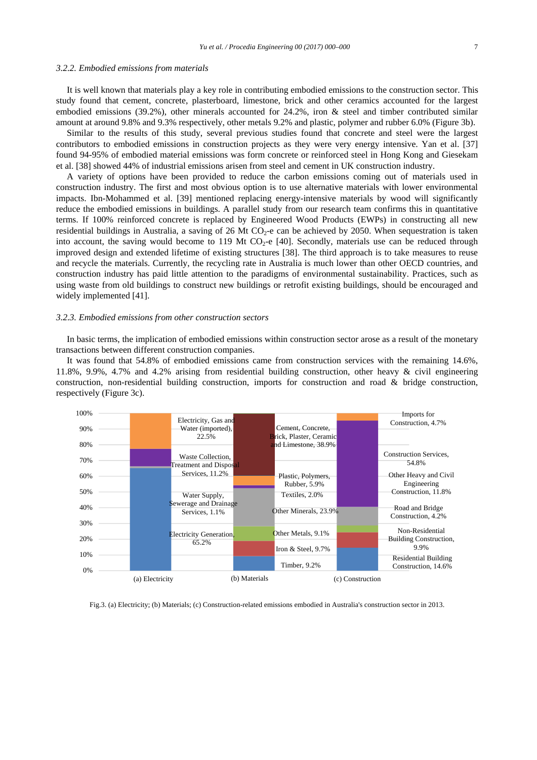# *3.2.2. Embodied emissions from materials*

It is well known that materials play a key role in contributing embodied emissions to the construction sector. This study found that cement, concrete, plasterboard, limestone, brick and other ceramics accounted for the largest embodied emissions (39.2%), other minerals accounted for 24.2%, iron & steel and timber contributed similar amount at around 9.8% and 9.3% respectively, other metals 9.2% and plastic, polymer and rubber 6.0% (Figure 3b).

Similar to the results of this study, several previous studies found that concrete and steel were the largest contributors to embodied emissions in construction projects as they were very energy intensive. Yan et al. [37] found 94-95% of embodied material emissions was form concrete or reinforced steel in Hong Kong and Giesekam et al. [38] showed 44% of industrial emissions arisen from steel and cement in UK construction industry.

A variety of options have been provided to reduce the carbon emissions coming out of materials used in construction industry. The first and most obvious option is to use alternative materials with lower environmental impacts. Ibn-Mohammed et al. [39] mentioned replacing energy-intensive materials by wood will significantly reduce the embodied emissions in buildings. A parallel study from our research team confirms this in quantitative terms. If 100% reinforced concrete is replaced by Engineered Wood Products (EWPs) in constructing all new residential buildings in Australia, a saving of 26 Mt  $CO<sub>2</sub>$ -e can be achieved by 2050. When sequestration is taken into account, the saving would become to 119 Mt  $CO<sub>2</sub>$ -e [40]. Secondly, materials use can be reduced through improved design and extended lifetime of existing structures [38]. The third approach is to take measures to reuse and recycle the materials. Currently, the recycling rate in Australia is much lower than other OECD countries, and construction industry has paid little attention to the paradigms of environmental sustainability. Practices, such as using waste from old buildings to construct new buildings or retrofit existing buildings, should be encouraged and widely implemented [41].

# *3.2.3. Embodied emissions from other construction sectors*

In basic terms, the implication of embodied emissions within construction sector arose as a result of the monetary transactions between different construction companies.

It was found that 54.8% of embodied emissions came from construction services with the remaining 14.6%, 11.8%, 9.9%, 4.7% and 4.2% arising from residential building construction, other heavy & civil engineering construction, non-residential building construction, imports for construction and road & bridge construction, respectively (Figure 3c).



Fig.3. (a) Electricity; (b) Materials; (c) Construction-related emissions embodied in Australia's construction sector in 2013.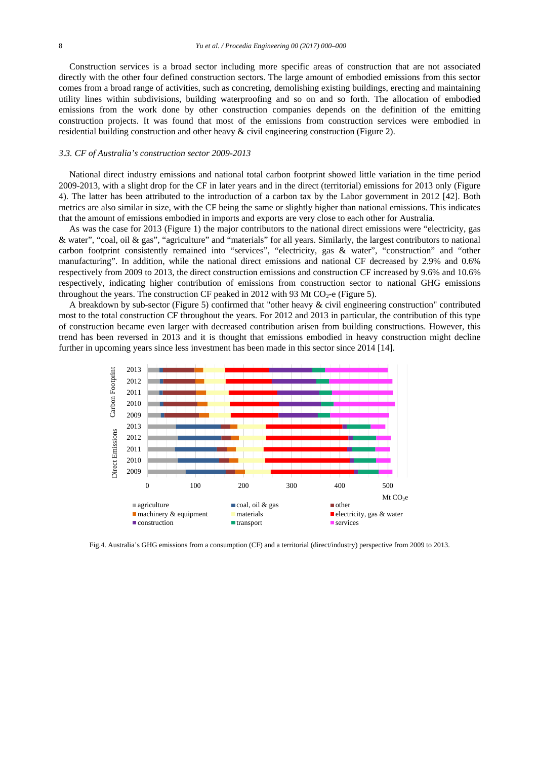Construction services is a broad sector including more specific areas of construction that are not associated directly with the other four defined construction sectors. The large amount of embodied emissions from this sector comes from a broad range of activities, such as concreting, demolishing existing buildings, erecting and maintaining utility lines within subdivisions, building waterproofing and so on and so forth. The allocation of embodied emissions from the work done by other construction companies depends on the definition of the emitting construction projects. It was found that most of the emissions from construction services were embodied in residential building construction and other heavy & civil engineering construction (Figure 2).

# *3.3. CF of Australia's construction sector 2009-2013*

National direct industry emissions and national total carbon footprint showed little variation in the time period 2009-2013, with a slight drop for the CF in later years and in the direct (territorial) emissions for 2013 only (Figure 4). The latter has been attributed to the introduction of a carbon tax by the Labor government in 2012 [42]. Both metrics are also similar in size, with the CF being the same or slightly higher than national emissions. This indicates that the amount of emissions embodied in imports and exports are very close to each other for Australia.

As was the case for 2013 (Figure 1) the major contributors to the national direct emissions were "electricity, gas & water", "coal, oil & gas", "agriculture" and "materials" for all years. Similarly, the largest contributors to national carbon footprint consistently remained into "services", "electricity, gas & water", "construction" and "other manufacturing". In addition, while the national direct emissions and national CF decreased by 2.9% and 0.6% respectively from 2009 to 2013, the direct construction emissions and construction CF increased by 9.6% and 10.6% respectively, indicating higher contribution of emissions from construction sector to national GHG emissions throughout the years. The construction CF peaked in 2012 with 93 Mt  $CO<sub>2</sub>$ -e (Figure 5).

A breakdown by sub-sector (Figure 5) confirmed that "other heavy & civil engineering construction" contributed most to the total construction CF throughout the years. For 2012 and 2013 in particular, the contribution of this type of construction became even larger with decreased contribution arisen from building constructions. However, this trend has been reversed in 2013 and it is thought that emissions embodied in heavy construction might decline further in upcoming years since less investment has been made in this sector since 2014 [14].



Fig.4. Australia's GHG emissions from a consumption (CF) and a territorial (direct/industry) perspective from 2009 to 2013.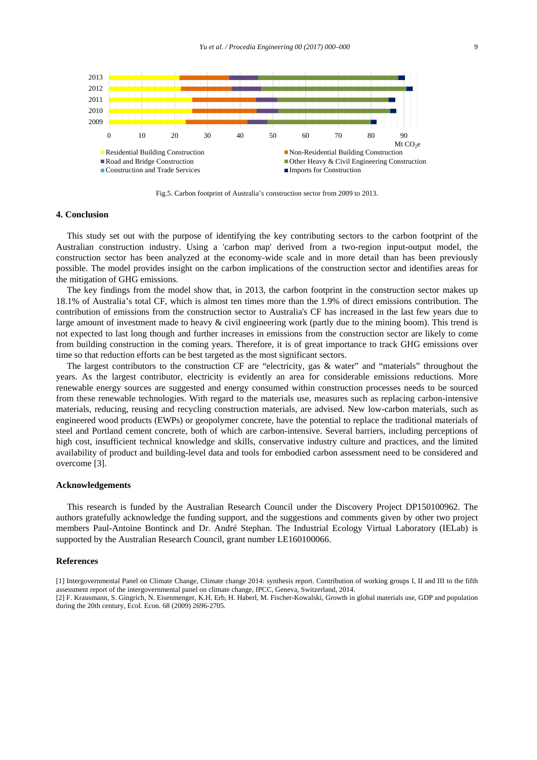

Fig.5. Carbon footprint of Australia's construction sector from 2009 to 2013.

# **4. Conclusion**

This study set out with the purpose of identifying the key contributing sectors to the carbon footprint of the Australian construction industry. Using a 'carbon map' derived from a two-region input-output model, the construction sector has been analyzed at the economy-wide scale and in more detail than has been previously possible. The model provides insight on the carbon implications of the construction sector and identifies areas for the mitigation of GHG emissions.

The key findings from the model show that, in 2013, the carbon footprint in the construction sector makes up 18.1% of Australia's total CF, which is almost ten times more than the 1.9% of direct emissions contribution. The contribution of emissions from the construction sector to Australia's CF has increased in the last few years due to large amount of investment made to heavy & civil engineering work (partly due to the mining boom). This trend is not expected to last long though and further increases in emissions from the construction sector are likely to come from building construction in the coming years. Therefore, it is of great importance to track GHG emissions over time so that reduction efforts can be best targeted as the most significant sectors.

The largest contributors to the construction CF are "electricity, gas & water" and "materials" throughout the years. As the largest contributor, electricity is evidently an area for considerable emissions reductions. More renewable energy sources are suggested and energy consumed within construction processes needs to be sourced from these renewable technologies. With regard to the materials use, measures such as replacing carbon-intensive materials, reducing, reusing and recycling construction materials, are advised. New low-carbon materials, such as engineered wood products (EWPs) or geopolymer concrete, have the potential to replace the traditional materials of steel and Portland cement concrete, both of which are carbon-intensive. Several barriers, including perceptions of high cost, insufficient technical knowledge and skills, conservative industry culture and practices, and the limited availability of product and building-level data and tools for embodied carbon assessment need to be considered and overcome [3].

#### **Acknowledgements**

This research is funded by the Australian Research Council under the Discovery Project DP150100962. The authors gratefully acknowledge the funding support, and the suggestions and comments given by other two project members Paul-Antoine Bontinck and Dr. André Stephan. The Industrial Ecology Virtual Laboratory (IELab) is supported by the Australian Research Council, grant number LE160100066.

#### **References**

<sup>[1]</sup> Intergovernmental Panel on Climate Change, Climate change 2014: synthesis report. Contribution of working groups I, II and III to the fifth assessment report of the intergovernmental panel on climate change, IPCC, Geneva, Switzerland, 2014.

<sup>[2]</sup> F. Krausmann, S. Gingrich, N. Eisenmenger, K.H. Erb, H. Haberl, M. Fischer-Kowalski, Growth in global materials use, GDP and population during the 20th century, Ecol. Econ. 68 (2009) 2696-2705.